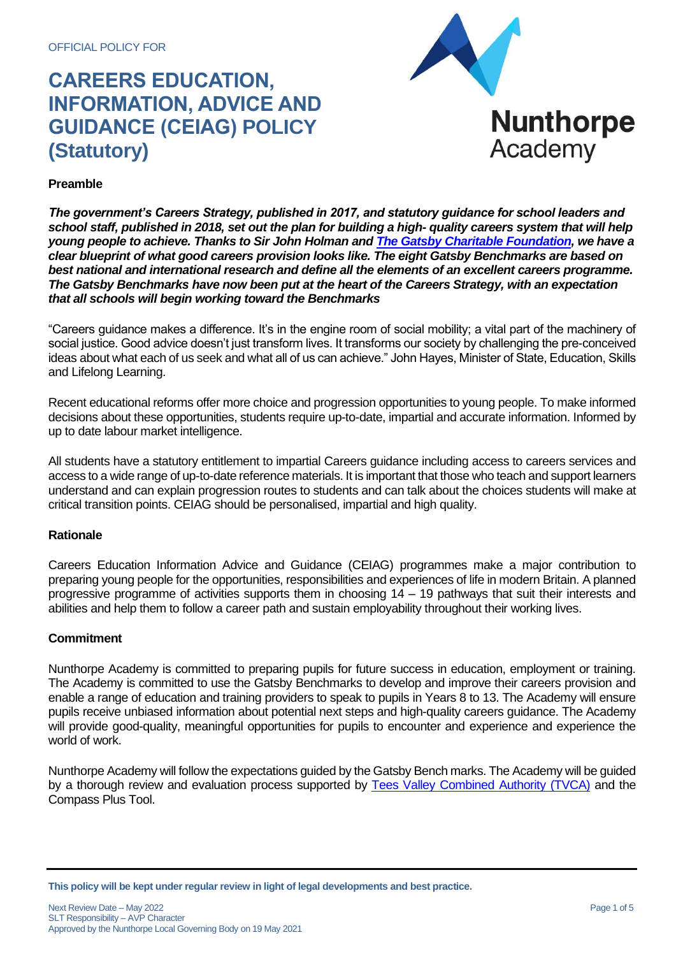

# **Preamble**

*The government's Careers Strategy, published in 2017, and statutory guidance for school leaders and school staff, published in 2018, set out the plan for building a high- quality careers system that will help young people to achieve. Thanks to Sir John Holman an[d The Gatsby Charitable Foundation,](https://www.gatsby.org.uk/education/focus-areas/good-career-guidance) we have a clear blueprint of what good careers provision looks like. The eight Gatsby Benchmarks are based on best national and international research and define all the elements of an excellent careers programme. The Gatsby Benchmarks have now been put at the heart of the Careers Strategy, with an expectation that all schools will begin working toward the Benchmarks*

"Careers guidance makes a difference. It's in the engine room of social mobility; a vital part of the machinery of social justice. Good advice doesn't just transform lives. It transforms our society by challenging the pre-conceived ideas about what each of us seek and what all of us can achieve." John Hayes, Minister of State, Education, Skills and Lifelong Learning.

Recent educational reforms offer more choice and progression opportunities to young people. To make informed decisions about these opportunities, students require up-to-date, impartial and accurate information. Informed by up to date labour market intelligence.

All students have a statutory entitlement to impartial Careers guidance including access to careers services and access to a wide range of up-to-date reference materials. It is important that those who teach and support learners understand and can explain progression routes to students and can talk about the choices students will make at critical transition points. CEIAG should be personalised, impartial and high quality.

#### **Rationale**

Careers Education Information Advice and Guidance (CEIAG) programmes make a major contribution to preparing young people for the opportunities, responsibilities and experiences of life in modern Britain. A planned progressive programme of activities supports them in choosing 14 – 19 pathways that suit their interests and abilities and help them to follow a career path and sustain employability throughout their working lives.

#### **Commitment**

Nunthorpe Academy is committed to preparing pupils for future success in education, employment or training. The Academy is committed to use the Gatsby Benchmarks to develop and improve their careers provision and enable a range of education and training providers to speak to pupils in Years 8 to 13. The Academy will ensure pupils receive unbiased information about potential next steps and high-quality careers guidance. The Academy will provide good-quality, meaningful opportunities for pupils to encounter and experience and experience the world of work.

Nunthorpe Academy will follow the expectations guided by the Gatsby Bench marks. The Academy will be guided by a thorough review and evaluation process supported by [Tees Valley Combined Authority](https://teesvalley-ca.gov.uk/) (TVCA) and the Compass Plus Tool.

**This policy will be kept under regular review in light of legal developments and best practice.**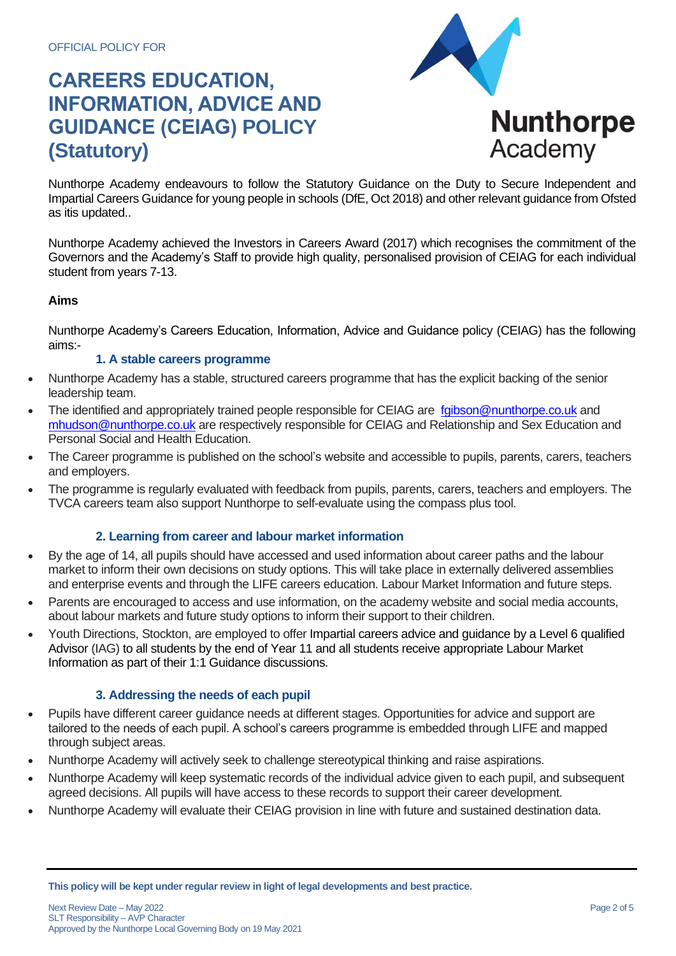

Nunthorpe Academy endeavours to follow the Statutory Guidance on the Duty to Secure Independent and Impartial Careers Guidance for young people in schools (DfE, Oct 2018) and other relevant guidance from Ofsted as itis updated..

Nunthorpe Academy achieved the Investors in Careers Award (2017) which recognises the commitment of the Governors and the Academy's Staff to provide high quality, personalised provision of CEIAG for each individual student from years 7-13.

# **Aims**

Nunthorpe Academy's Careers Education, Information, Advice and Guidance policy (CEIAG) has the following aims:-

### **1. A stable careers programme**

- Nunthorpe Academy has a stable, structured careers programme that has the explicit backing of the senior leadership team.
- The identified and appropriately trained people responsible for CEIAG are [fgibson@nunthorpe.co.uk](mailto:fgibson@nunthorpe.co.uk) and [mhudson@nunthorpe.co.uk](mailto:mhudson@nunthorpe.co.uk) are respectively responsible for CEIAG and Relationship and Sex Education and Personal Social and Health Education.
- The Career programme is published on the school's website and accessible to pupils, parents, carers, teachers and employers.
- The programme is regularly evaluated with feedback from pupils, parents, carers, teachers and employers. The TVCA careers team also support Nunthorpe to self-evaluate using the compass plus tool.

# **2. Learning from career and labour market information**

- By the age of 14, all pupils should have accessed and used information about career paths and the labour market to inform their own decisions on study options. This will take place in externally delivered assemblies and enterprise events and through the LIFE careers education. Labour Market Information and future steps.
- Parents are encouraged to access and use information, on the academy website and social media accounts, about labour markets and future study options to inform their support to their children.
- Youth Directions, Stockton, are employed to offer Impartial careers advice and guidance by a Level 6 qualified Advisor (IAG) to all students by the end of Year 11 and all students receive appropriate Labour Market Information as part of their 1:1 Guidance discussions.

# **3. Addressing the needs of each pupil**

- Pupils have different career guidance needs at different stages. Opportunities for advice and support are tailored to the needs of each pupil. A school's careers programme is embedded through LIFE and mapped through subject areas.
- Nunthorpe Academy will actively seek to challenge stereotypical thinking and raise aspirations.
- Nunthorpe Academy will keep systematic records of the individual advice given to each pupil, and subsequent agreed decisions. All pupils will have access to these records to support their career development.
- Nunthorpe Academy will evaluate their CEIAG provision in line with future and sustained destination data.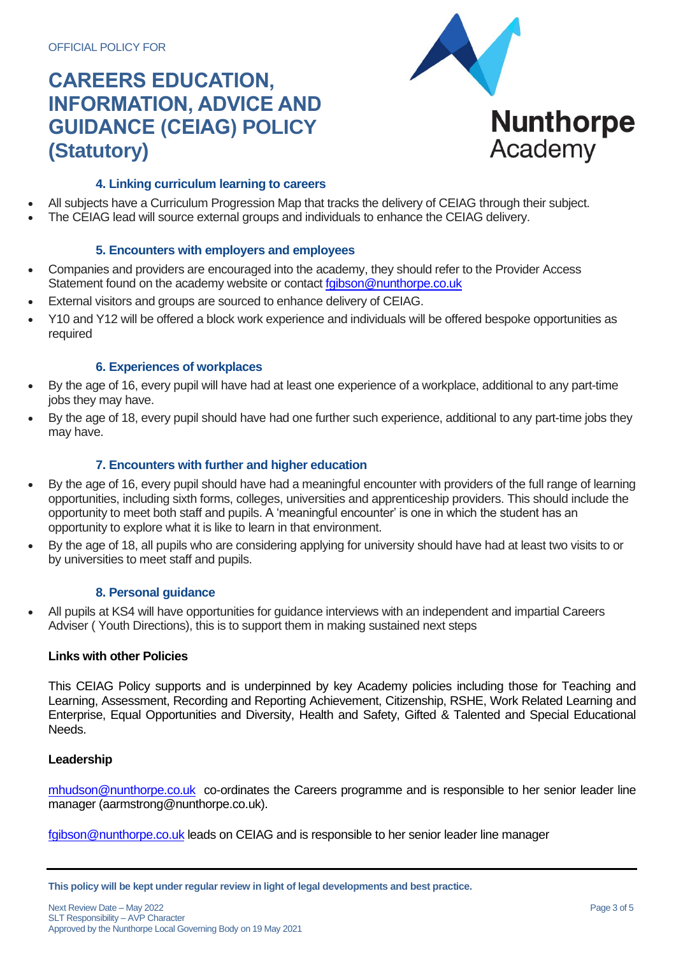

# **4. Linking curriculum learning to careers**

- All subjects have a Curriculum Progression Map that tracks the delivery of CEIAG through their subject.
- The CEIAG lead will source external groups and individuals to enhance the CEIAG delivery.

# **5. Encounters with employers and employees**

- Companies and providers are encouraged into the academy, they should refer to the Provider Access Statement found on the academy website or contact faibson@nunthorpe.co.uk
- External visitors and groups are sourced to enhance delivery of CEIAG.
- Y10 and Y12 will be offered a block work experience and individuals will be offered bespoke opportunities as required

# **6. Experiences of workplaces**

- By the age of 16, every pupil will have had at least one experience of a workplace, additional to any part-time jobs they may have.
- By the age of 18, every pupil should have had one further such experience, additional to any part-time jobs they may have.

# **7. Encounters with further and higher education**

- By the age of 16, every pupil should have had a meaningful encounter with providers of the full range of learning opportunities, including sixth forms, colleges, universities and apprenticeship providers. This should include the opportunity to meet both staff and pupils. A 'meaningful encounter' is one in which the student has an opportunity to explore what it is like to learn in that environment.
- By the age of 18, all pupils who are considering applying for university should have had at least two visits to or by universities to meet staff and pupils.

# **8. Personal guidance**

• All pupils at KS4 will have opportunities for guidance interviews with an independent and impartial Careers Adviser ( Youth Directions), this is to support them in making sustained next steps

# **Links with other Policies**

This CEIAG Policy supports and is underpinned by key Academy policies including those for Teaching and Learning, Assessment, Recording and Reporting Achievement, Citizenship, RSHE, Work Related Learning and Enterprise, Equal Opportunities and Diversity, Health and Safety, Gifted & Talented and Special Educational Needs.

#### **Leadership**

[mhudson@nunthorpe.co.uk](mailto:mhudson@nunthorpe.co.uk) co-ordinates the Careers programme and is responsible to her senior leader line manager (aarmstrong@nunthorpe.co.uk).

[fgibson@nunthorpe.co.uk](mailto:fgibson@nunthorpe.co.uk) leads on CEIAG and is responsible to her senior leader line manager

**This policy will be kept under regular review in light of legal developments and best practice.**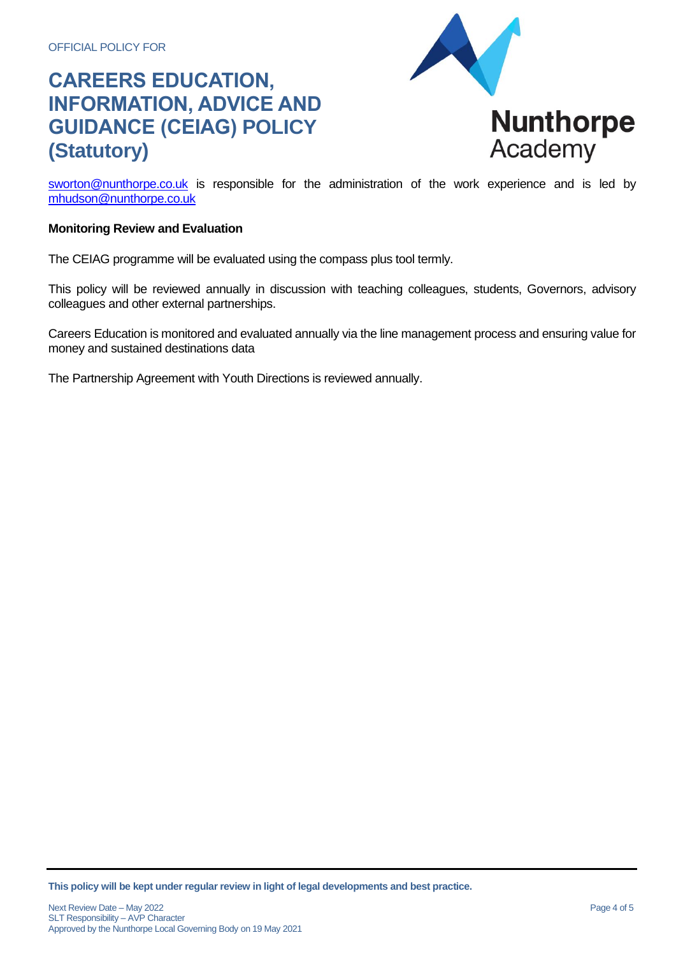

sworton@nunthorpe.co.uk is responsible for the administration of the work experience and is led by [mhudson@nunthorpe.co.u](mailto:sworton@nunthorpe.co.uk)[k](mailto:mhudson@nunthorpe.co.uk)

### **Monitoring Review and Evaluation**

The CEIAG programme will be evaluated using the compass plus tool termly.

This policy will be reviewed annually in discussion with teaching colleagues, students, Governors, advisory colleagues and other external partnerships.

Careers Education is monitored and evaluated annually via the line management process and ensuring value for money and sustained destinations data

The Partnership Agreement with Youth Directions is reviewed annually.

**This policy will be kept under regular review in light of legal developments and best practice.**